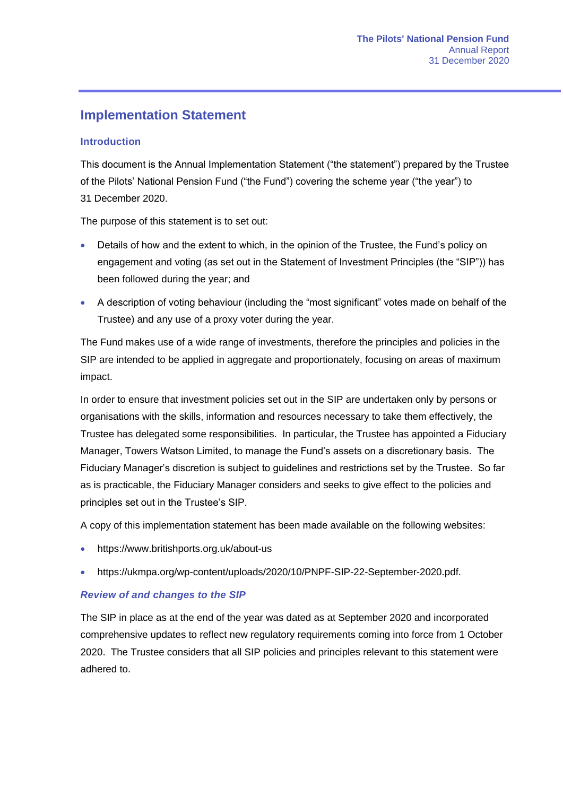# **Implementation Statement**

#### **Introduction**

This document is the Annual Implementation Statement ("the statement") prepared by the Trustee of the Pilots' National Pension Fund ("the Fund") covering the scheme year ("the year") to 31 December 2020.

The purpose of this statement is to set out:

- Details of how and the extent to which, in the opinion of the Trustee, the Fund's policy on engagement and voting (as set out in the Statement of Investment Principles (the "SIP")) has been followed during the year; and
- A description of voting behaviour (including the "most significant" votes made on behalf of the Trustee) and any use of a proxy voter during the year.

The Fund makes use of a wide range of investments, therefore the principles and policies in the SIP are intended to be applied in aggregate and proportionately, focusing on areas of maximum impact.

In order to ensure that investment policies set out in the SIP are undertaken only by persons or organisations with the skills, information and resources necessary to take them effectively, the Trustee has delegated some responsibilities. In particular, the Trustee has appointed a Fiduciary Manager, Towers Watson Limited, to manage the Fund's assets on a discretionary basis. The Fiduciary Manager's discretion is subject to guidelines and restrictions set by the Trustee. So far as is practicable, the Fiduciary Manager considers and seeks to give effect to the policies and principles set out in the Trustee's SIP.

A copy of this implementation statement has been made available on the following websites:

- https://www.britishports.org.uk/about-us
- https://ukmpa.org/wp-content/uploads/2020/10/PNPF-SIP-22-September-2020.pdf.

#### *Review of and changes to the SIP*

The SIP in place as at the end of the year was dated as at September 2020 and incorporated comprehensive updates to reflect new regulatory requirements coming into force from 1 October 2020. The Trustee considers that all SIP policies and principles relevant to this statement were adhered to.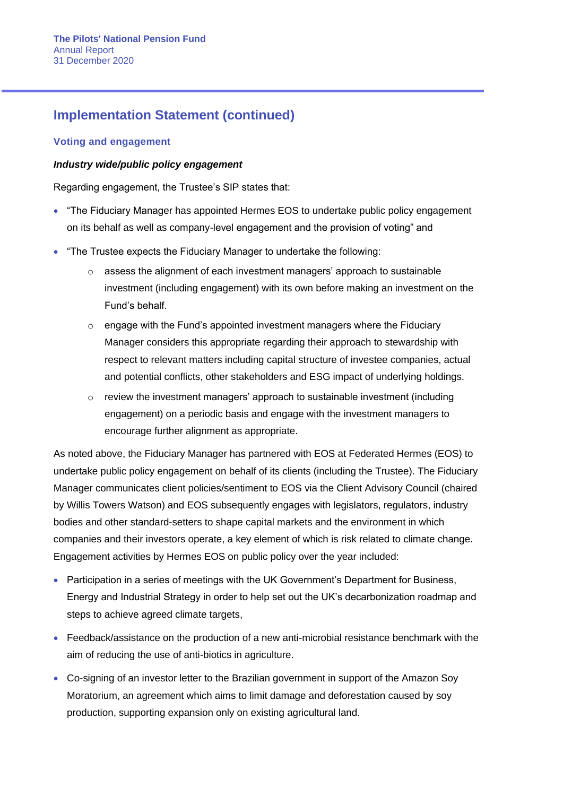#### **Voting and engagement**

#### *Industry wide/public policy engagement*

Regarding engagement, the Trustee's SIP states that:

- "The Fiduciary Manager has appointed Hermes EOS to undertake public policy engagement on its behalf as well as company-level engagement and the provision of voting" and
- "The Trustee expects the Fiduciary Manager to undertake the following:
	- o assess the alignment of each investment managers' approach to sustainable investment (including engagement) with its own before making an investment on the Fund's behalf.
	- $\circ$  engage with the Fund's appointed investment managers where the Fiduciary Manager considers this appropriate regarding their approach to stewardship with respect to relevant matters including capital structure of investee companies, actual and potential conflicts, other stakeholders and ESG impact of underlying holdings.
	- $\circ$  review the investment managers' approach to sustainable investment (including engagement) on a periodic basis and engage with the investment managers to encourage further alignment as appropriate.

As noted above, the Fiduciary Manager has partnered with EOS at Federated Hermes (EOS) to undertake public policy engagement on behalf of its clients (including the Trustee). The Fiduciary Manager communicates client policies/sentiment to EOS via the Client Advisory Council (chaired by Willis Towers Watson) and EOS subsequently engages with legislators, regulators, industry bodies and other standard-setters to shape capital markets and the environment in which companies and their investors operate, a key element of which is risk related to climate change. Engagement activities by Hermes EOS on public policy over the year included:

- Participation in a series of meetings with the UK Government's Department for Business, Energy and Industrial Strategy in order to help set out the UK's decarbonization roadmap and steps to achieve agreed climate targets,
- Feedback/assistance on the production of a new anti-microbial resistance benchmark with the aim of reducing the use of anti-biotics in agriculture.
- Co-signing of an investor letter to the Brazilian government in support of the Amazon Soy Moratorium, an agreement which aims to limit damage and deforestation caused by soy production, supporting expansion only on existing agricultural land.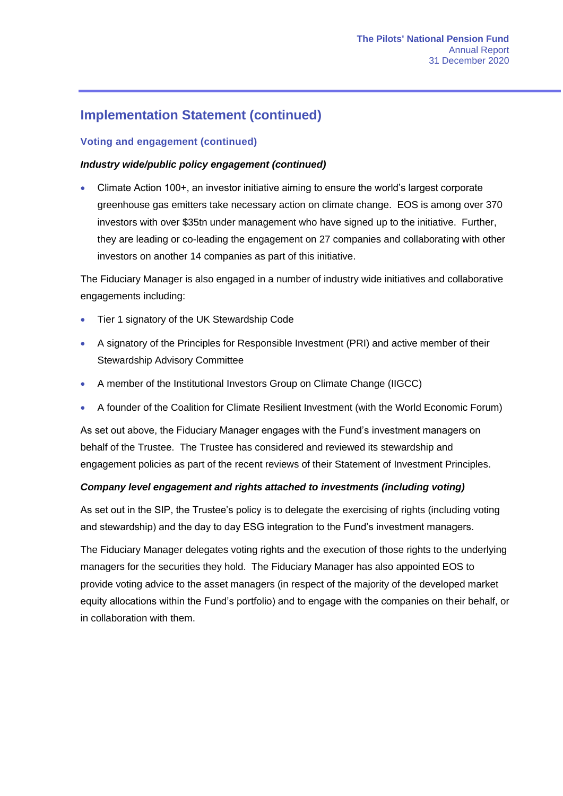### **Voting and engagement (continued)**

#### *Industry wide/public policy engagement (continued)*

• Climate Action 100+, an investor initiative aiming to ensure the world's largest corporate greenhouse gas emitters take necessary action on climate change. EOS is among over 370 investors with over \$35tn under management who have signed up to the initiative. Further, they are leading or co-leading the engagement on 27 companies and collaborating with other investors on another 14 companies as part of this initiative.

The Fiduciary Manager is also engaged in a number of industry wide initiatives and collaborative engagements including:

- Tier 1 signatory of the UK Stewardship Code
- A signatory of the Principles for Responsible Investment (PRI) and active member of their Stewardship Advisory Committee
- A member of the Institutional Investors Group on Climate Change (IIGCC)
- A founder of the Coalition for Climate Resilient Investment (with the World Economic Forum)

As set out above, the Fiduciary Manager engages with the Fund's investment managers on behalf of the Trustee. The Trustee has considered and reviewed its stewardship and engagement policies as part of the recent reviews of their Statement of Investment Principles.

#### *Company level engagement and rights attached to investments (including voting)*

As set out in the SIP, the Trustee's policy is to delegate the exercising of rights (including voting and stewardship) and the day to day ESG integration to the Fund's investment managers.

The Fiduciary Manager delegates voting rights and the execution of those rights to the underlying managers for the securities they hold. The Fiduciary Manager has also appointed EOS to provide voting advice to the asset managers (in respect of the majority of the developed market equity allocations within the Fund's portfolio) and to engage with the companies on their behalf, or in collaboration with them.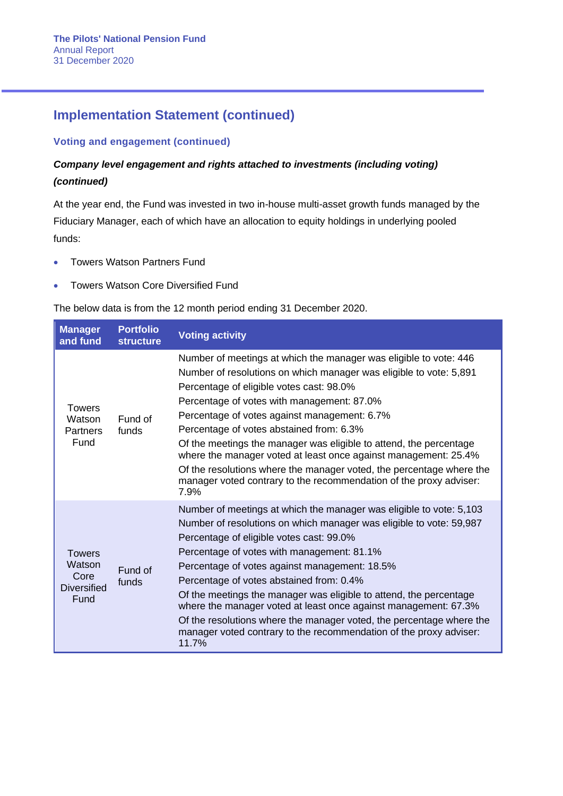### **Voting and engagement (continued)**

## *Company level engagement and rights attached to investments (including voting) (continued)*

At the year end, the Fund was invested in two in-house multi-asset growth funds managed by the Fiduciary Manager, each of which have an allocation to equity holdings in underlying pooled funds:

- Towers Watson Partners Fund
- Towers Watson Core Diversified Fund

The below data is from the 12 month period ending 31 December 2020.

| <b>Manager</b><br>and fund                                    | <b>Portfolio</b><br><b>structure</b> | <b>Voting activity</b>                                                                                                                                                                                                                                                                                                                                                                                                                                                                                                                                                                                                            |
|---------------------------------------------------------------|--------------------------------------|-----------------------------------------------------------------------------------------------------------------------------------------------------------------------------------------------------------------------------------------------------------------------------------------------------------------------------------------------------------------------------------------------------------------------------------------------------------------------------------------------------------------------------------------------------------------------------------------------------------------------------------|
| <b>Towers</b><br>Watson<br><b>Partners</b><br>Fund            | Fund of<br>funds                     | Number of meetings at which the manager was eligible to vote: 446<br>Number of resolutions on which manager was eligible to vote: 5,891<br>Percentage of eligible votes cast: 98.0%<br>Percentage of votes with management: 87.0%<br>Percentage of votes against management: 6.7%<br>Percentage of votes abstained from: 6.3%<br>Of the meetings the manager was eligible to attend, the percentage<br>where the manager voted at least once against management: 25.4%<br>Of the resolutions where the manager voted, the percentage where the<br>manager voted contrary to the recommendation of the proxy adviser:<br>7.9%      |
| <b>Towers</b><br>Watson<br>Core<br><b>Diversified</b><br>Fund | Fund of<br>funds                     | Number of meetings at which the manager was eligible to vote: 5,103<br>Number of resolutions on which manager was eligible to vote: 59,987<br>Percentage of eligible votes cast: 99.0%<br>Percentage of votes with management: 81.1%<br>Percentage of votes against management: 18.5%<br>Percentage of votes abstained from: 0.4%<br>Of the meetings the manager was eligible to attend, the percentage<br>where the manager voted at least once against management: 67.3%<br>Of the resolutions where the manager voted, the percentage where the<br>manager voted contrary to the recommendation of the proxy adviser:<br>11.7% |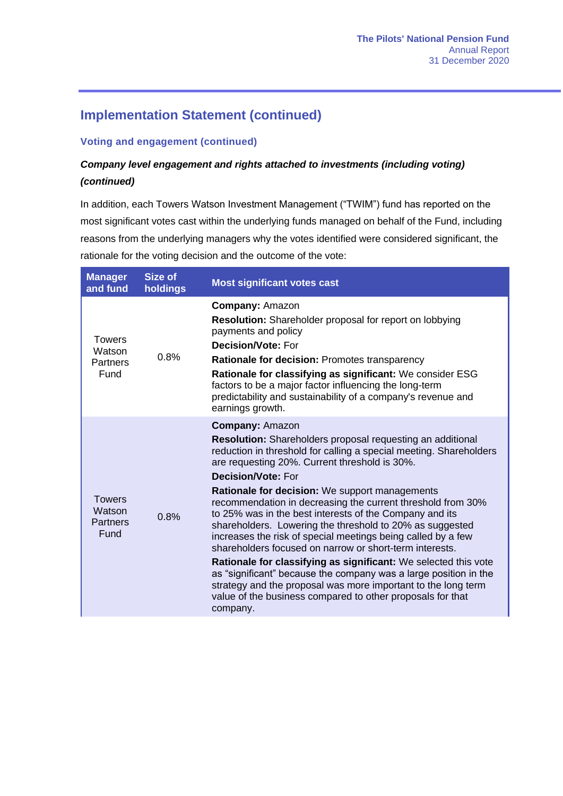### **Voting and engagement (continued)**

## *Company level engagement and rights attached to investments (including voting) (continued)*

In addition, each Towers Watson Investment Management ("TWIM") fund has reported on the most significant votes cast within the underlying funds managed on behalf of the Fund, including reasons from the underlying managers why the votes identified were considered significant, the rationale for the voting decision and the outcome of the vote:

| <b>Manager</b><br>and fund                         | <b>Size of</b><br>holdings | <b>Most significant votes cast</b>                                                                                                                                                                                                                                                                                                                                                                                                                                                                                                                                                                                                                                                                                                                                                                                                                                                                          |
|----------------------------------------------------|----------------------------|-------------------------------------------------------------------------------------------------------------------------------------------------------------------------------------------------------------------------------------------------------------------------------------------------------------------------------------------------------------------------------------------------------------------------------------------------------------------------------------------------------------------------------------------------------------------------------------------------------------------------------------------------------------------------------------------------------------------------------------------------------------------------------------------------------------------------------------------------------------------------------------------------------------|
| <b>Towers</b><br>Watson<br><b>Partners</b><br>Fund | 0.8%                       | <b>Company: Amazon</b><br><b>Resolution:</b> Shareholder proposal for report on lobbying<br>payments and policy<br><b>Decision/Vote: For</b><br>Rationale for decision: Promotes transparency<br>Rationale for classifying as significant: We consider ESG<br>factors to be a major factor influencing the long-term<br>predictability and sustainability of a company's revenue and<br>earnings growth.                                                                                                                                                                                                                                                                                                                                                                                                                                                                                                    |
| <b>Towers</b><br>Watson<br><b>Partners</b><br>Fund | 0.8%                       | <b>Company: Amazon</b><br><b>Resolution:</b> Shareholders proposal requesting an additional<br>reduction in threshold for calling a special meeting. Shareholders<br>are requesting 20%. Current threshold is 30%.<br><b>Decision/Vote: For</b><br><b>Rationale for decision:</b> We support managements<br>recommendation in decreasing the current threshold from 30%<br>to 25% was in the best interests of the Company and its<br>shareholders. Lowering the threshold to 20% as suggested<br>increases the risk of special meetings being called by a few<br>shareholders focused on narrow or short-term interests.<br>Rationale for classifying as significant: We selected this vote<br>as "significant" because the company was a large position in the<br>strategy and the proposal was more important to the long term<br>value of the business compared to other proposals for that<br>company. |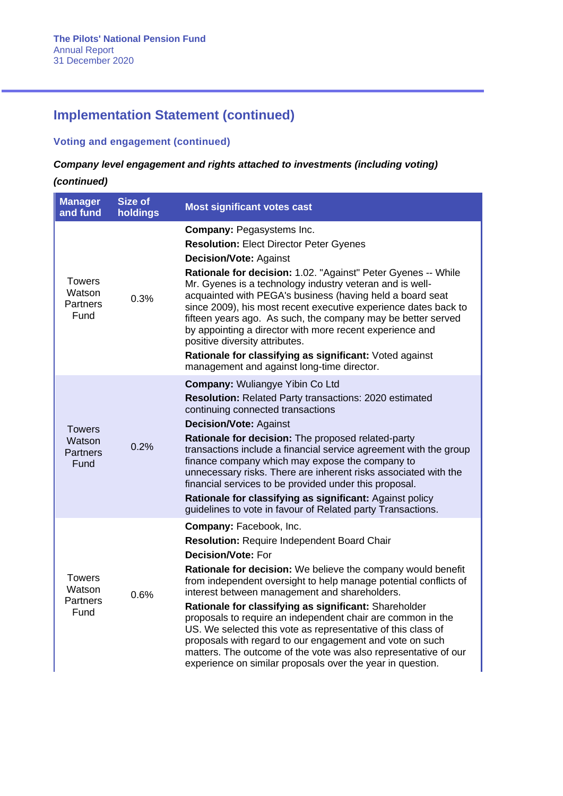### **Voting and engagement (continued)**

### *Company level engagement and rights attached to investments (including voting)*

| <b>Manager</b><br>and fund                         | <b>Size of</b><br>holdings | <b>Most significant votes cast</b>                                                                                                                                                                                                                                                                                                                                                                                                                                                                                                                                                                                                                                                   |
|----------------------------------------------------|----------------------------|--------------------------------------------------------------------------------------------------------------------------------------------------------------------------------------------------------------------------------------------------------------------------------------------------------------------------------------------------------------------------------------------------------------------------------------------------------------------------------------------------------------------------------------------------------------------------------------------------------------------------------------------------------------------------------------|
| <b>Towers</b><br>Watson<br><b>Partners</b><br>Fund | 0.3%                       | <b>Company: Pegasystems Inc.</b><br><b>Resolution: Elect Director Peter Gyenes</b><br><b>Decision/Vote: Against</b><br>Rationale for decision: 1.02. "Against" Peter Gyenes -- While<br>Mr. Gyenes is a technology industry veteran and is well-<br>acquainted with PEGA's business (having held a board seat<br>since 2009), his most recent executive experience dates back to<br>fifteen years ago. As such, the company may be better served<br>by appointing a director with more recent experience and<br>positive diversity attributes.<br>Rationale for classifying as significant: Voted against<br>management and against long-time director.                              |
| <b>Towers</b><br>Watson<br><b>Partners</b><br>Fund | 0.2%                       | <b>Company: Wuliangye Yibin Co Ltd</b><br><b>Resolution:</b> Related Party transactions: 2020 estimated<br>continuing connected transactions<br><b>Decision/Vote: Against</b><br>Rationale for decision: The proposed related-party<br>transactions include a financial service agreement with the group<br>finance company which may expose the company to<br>unnecessary risks. There are inherent risks associated with the<br>financial services to be provided under this proposal.<br>Rationale for classifying as significant: Against policy<br>guidelines to vote in favour of Related party Transactions.                                                                  |
| <b>Towers</b><br>Watson<br><b>Partners</b><br>Fund | 0.6%                       | Company: Facebook, Inc.<br><b>Resolution: Require Independent Board Chair</b><br><b>Decision/Vote: For</b><br>Rationale for decision: We believe the company would benefit<br>from independent oversight to help manage potential conflicts of<br>interest between management and shareholders.<br>Rationale for classifying as significant: Shareholder<br>proposals to require an independent chair are common in the<br>US. We selected this vote as representative of this class of<br>proposals with regard to our engagement and vote on such<br>matters. The outcome of the vote was also representative of our<br>experience on similar proposals over the year in question. |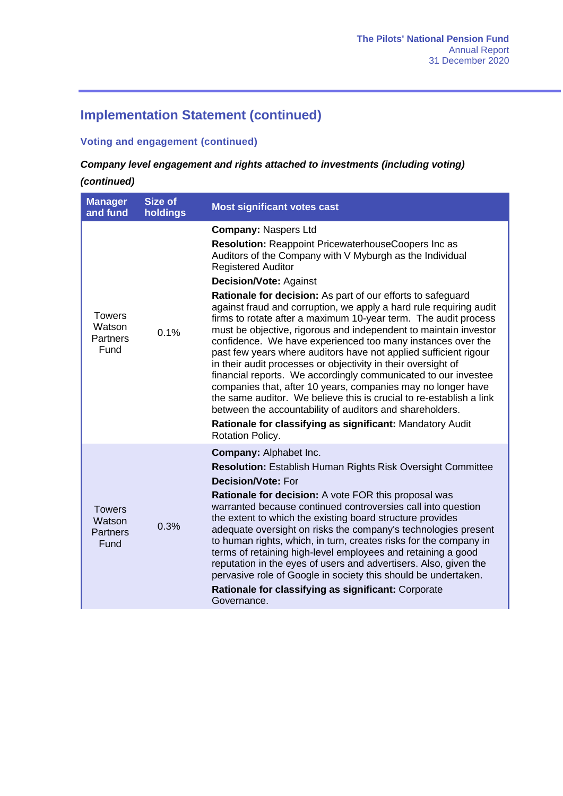### **Voting and engagement (continued)**

## *Company level engagement and rights attached to investments (including voting)*

| <b>Manager</b><br>and fund                         | <b>Size of</b><br>holdings | <b>Most significant votes cast</b>                                                                                                                                                                                                                                                                                                                                                                                                                                                                                                                                                                                                                                                                                                                                                                                                                                                                                                                                                                                                                 |
|----------------------------------------------------|----------------------------|----------------------------------------------------------------------------------------------------------------------------------------------------------------------------------------------------------------------------------------------------------------------------------------------------------------------------------------------------------------------------------------------------------------------------------------------------------------------------------------------------------------------------------------------------------------------------------------------------------------------------------------------------------------------------------------------------------------------------------------------------------------------------------------------------------------------------------------------------------------------------------------------------------------------------------------------------------------------------------------------------------------------------------------------------|
| <b>Towers</b><br>Watson<br><b>Partners</b><br>Fund | 0.1%                       | <b>Company: Naspers Ltd</b><br>Resolution: Reappoint PricewaterhouseCoopers Inc as<br>Auditors of the Company with V Myburgh as the Individual<br><b>Registered Auditor</b><br><b>Decision/Vote: Against</b><br>Rationale for decision: As part of our efforts to safeguard<br>against fraud and corruption, we apply a hard rule requiring audit<br>firms to rotate after a maximum 10-year term. The audit process<br>must be objective, rigorous and independent to maintain investor<br>confidence. We have experienced too many instances over the<br>past few years where auditors have not applied sufficient rigour<br>in their audit processes or objectivity in their oversight of<br>financial reports. We accordingly communicated to our investee<br>companies that, after 10 years, companies may no longer have<br>the same auditor. We believe this is crucial to re-establish a link<br>between the accountability of auditors and shareholders.<br>Rationale for classifying as significant: Mandatory Audit<br>Rotation Policy. |
| <b>Towers</b><br>Watson<br><b>Partners</b><br>Fund | 0.3%                       | <b>Company: Alphabet Inc.</b><br><b>Resolution: Establish Human Rights Risk Oversight Committee</b><br><b>Decision/Vote: For</b><br>Rationale for decision: A vote FOR this proposal was<br>warranted because continued controversies call into question<br>the extent to which the existing board structure provides<br>adequate oversight on risks the company's technologies present<br>to human rights, which, in turn, creates risks for the company in<br>terms of retaining high-level employees and retaining a good<br>reputation in the eyes of users and advertisers. Also, given the<br>pervasive role of Google in society this should be undertaken.<br>Rationale for classifying as significant: Corporate<br>Governance.                                                                                                                                                                                                                                                                                                           |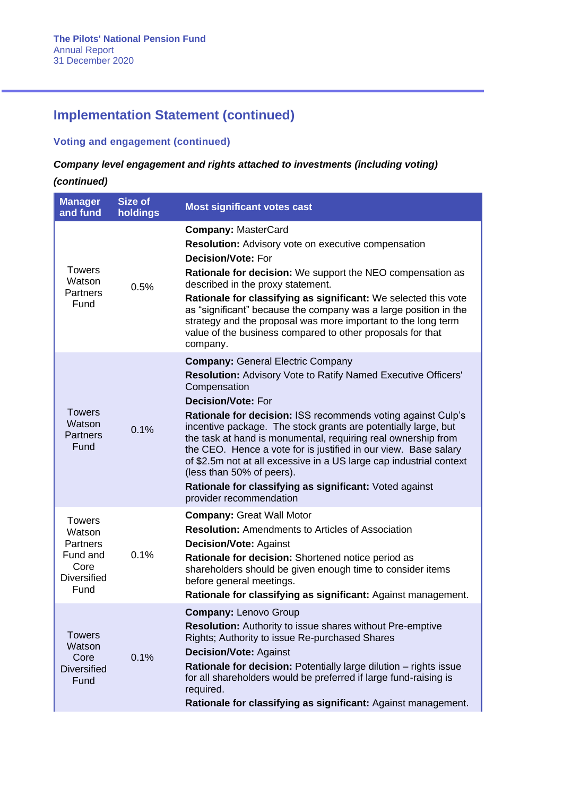### **Voting and engagement (continued)**

### *Company level engagement and rights attached to investments (including voting)*

| <b>Manager</b><br>and fund                                                                   | <b>Size of</b><br>holdings | <b>Most significant votes cast</b>                                                                                                                                                                                                                                                                                                                                                                                                                                                                                                                                                                                            |
|----------------------------------------------------------------------------------------------|----------------------------|-------------------------------------------------------------------------------------------------------------------------------------------------------------------------------------------------------------------------------------------------------------------------------------------------------------------------------------------------------------------------------------------------------------------------------------------------------------------------------------------------------------------------------------------------------------------------------------------------------------------------------|
| <b>Towers</b><br>Watson<br><b>Partners</b><br>Fund                                           | 0.5%                       | <b>Company: MasterCard</b><br>Resolution: Advisory vote on executive compensation<br><b>Decision/Vote: For</b><br><b>Rationale for decision:</b> We support the NEO compensation as<br>described in the proxy statement.<br>Rationale for classifying as significant: We selected this vote<br>as "significant" because the company was a large position in the<br>strategy and the proposal was more important to the long term<br>value of the business compared to other proposals for that<br>company.                                                                                                                    |
| <b>Towers</b><br>Watson<br><b>Partners</b><br>Fund                                           | 0.1%                       | <b>Company: General Electric Company</b><br><b>Resolution:</b> Advisory Vote to Ratify Named Executive Officers'<br>Compensation<br><b>Decision/Vote: For</b><br>Rationale for decision: ISS recommends voting against Culp's<br>incentive package. The stock grants are potentially large, but<br>the task at hand is monumental, requiring real ownership from<br>the CEO. Hence a vote for is justified in our view. Base salary<br>of \$2.5m not at all excessive in a US large cap industrial context<br>(less than 50% of peers).<br>Rationale for classifying as significant: Voted against<br>provider recommendation |
| <b>Towers</b><br>Watson<br><b>Partners</b><br>Fund and<br>Core<br><b>Diversified</b><br>Fund | 0.1%                       | <b>Company: Great Wall Motor</b><br><b>Resolution:</b> Amendments to Articles of Association<br><b>Decision/Vote: Against</b><br>Rationale for decision: Shortened notice period as<br>shareholders should be given enough time to consider items<br>before general meetings.<br>Rationale for classifying as significant: Against management.                                                                                                                                                                                                                                                                                |
| <b>Towers</b><br>Watson<br>Core<br><b>Diversified</b><br>Fund                                | 0.1%                       | <b>Company: Lenovo Group</b><br><b>Resolution:</b> Authority to issue shares without Pre-emptive<br>Rights; Authority to issue Re-purchased Shares<br><b>Decision/Vote: Against</b><br>Rationale for decision: Potentially large dilution - rights issue<br>for all shareholders would be preferred if large fund-raising is<br>required.<br>Rationale for classifying as significant: Against management.                                                                                                                                                                                                                    |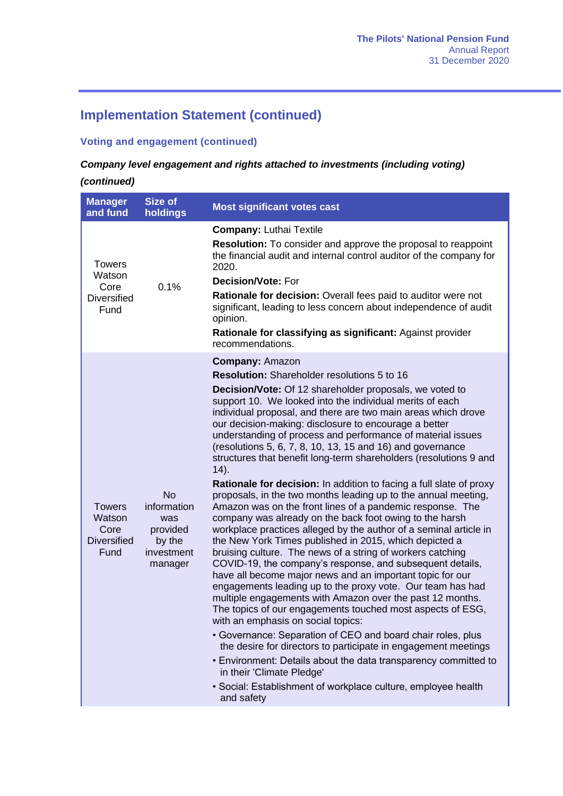### **Voting and engagement (continued)**

## *Company level engagement and rights attached to investments (including voting)*

| <b>Manager</b><br>and fund                                    | <b>Size of</b><br>holdings                                                     | <b>Most significant votes cast</b>                                                                                                                                                                                                                                                                                                                                                                                                                                                                                                                                                                                                                                                                                                                                                                                                                                                                                                                                                                                                                                                                                                                                                                                                                                                                                                                                                                                                                                                                                                                                                                                                                                              |
|---------------------------------------------------------------|--------------------------------------------------------------------------------|---------------------------------------------------------------------------------------------------------------------------------------------------------------------------------------------------------------------------------------------------------------------------------------------------------------------------------------------------------------------------------------------------------------------------------------------------------------------------------------------------------------------------------------------------------------------------------------------------------------------------------------------------------------------------------------------------------------------------------------------------------------------------------------------------------------------------------------------------------------------------------------------------------------------------------------------------------------------------------------------------------------------------------------------------------------------------------------------------------------------------------------------------------------------------------------------------------------------------------------------------------------------------------------------------------------------------------------------------------------------------------------------------------------------------------------------------------------------------------------------------------------------------------------------------------------------------------------------------------------------------------------------------------------------------------|
| <b>Towers</b><br>Watson<br>Core<br><b>Diversified</b><br>Fund | 0.1%                                                                           | <b>Company: Luthai Textile</b><br>Resolution: To consider and approve the proposal to reappoint<br>the financial audit and internal control auditor of the company for<br>2020.<br><b>Decision/Vote: For</b><br>Rationale for decision: Overall fees paid to auditor were not<br>significant, leading to less concern about independence of audit<br>opinion.<br>Rationale for classifying as significant: Against provider<br>recommendations.                                                                                                                                                                                                                                                                                                                                                                                                                                                                                                                                                                                                                                                                                                                                                                                                                                                                                                                                                                                                                                                                                                                                                                                                                                 |
| <b>Towers</b><br>Watson<br>Core<br><b>Diversified</b><br>Fund | <b>No</b><br>information<br>was<br>provided<br>by the<br>investment<br>manager | <b>Company: Amazon</b><br>Resolution: Shareholder resolutions 5 to 16<br><b>Decision/Vote:</b> Of 12 shareholder proposals, we voted to<br>support 10. We looked into the individual merits of each<br>individual proposal, and there are two main areas which drove<br>our decision-making: disclosure to encourage a better<br>understanding of process and performance of material issues<br>(resolutions 5, 6, 7, 8, 10, 13, 15 and 16) and governance<br>structures that benefit long-term shareholders (resolutions 9 and<br>(14).<br>Rationale for decision: In addition to facing a full slate of proxy<br>proposals, in the two months leading up to the annual meeting,<br>Amazon was on the front lines of a pandemic response. The<br>company was already on the back foot owing to the harsh<br>workplace practices alleged by the author of a seminal article in<br>the New York Times published in 2015, which depicted a<br>bruising culture. The news of a string of workers catching<br>COVID-19, the company's response, and subsequent details,<br>have all become major news and an important topic for our<br>engagements leading up to the proxy vote. Our team has had<br>multiple engagements with Amazon over the past 12 months.<br>The topics of our engagements touched most aspects of ESG,<br>with an emphasis on social topics:<br>• Governance: Separation of CEO and board chair roles, plus<br>the desire for directors to participate in engagement meetings<br>• Environment: Details about the data transparency committed to<br>in their 'Climate Pledge'<br>• Social: Establishment of workplace culture, employee health<br>and safety |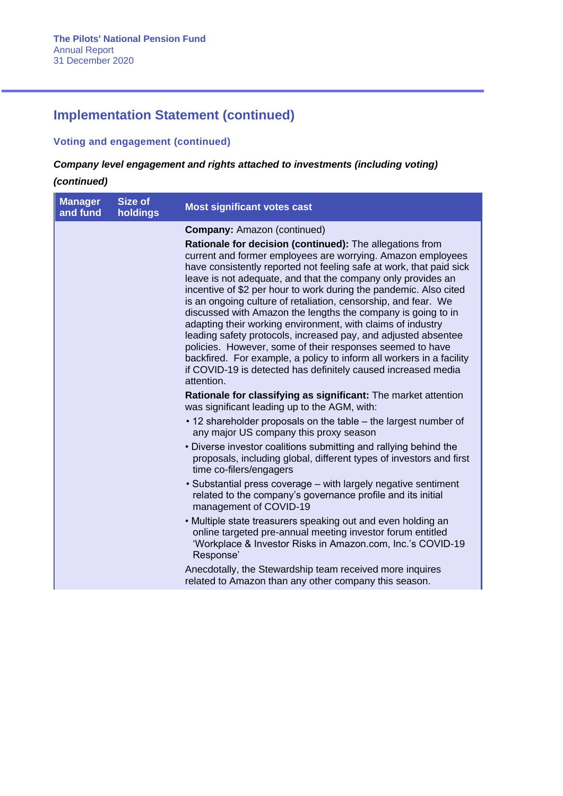## **Voting and engagement (continued)**

### *Company level engagement and rights attached to investments (including voting)*

| <b>Manager</b><br>and fund | Size of<br>holdings | <b>Most significant votes cast</b>                                                                                                                                                                                                                                                                                                                                                                                                                                                                                                                                                                                                                                                                                                                                                                                                                               |
|----------------------------|---------------------|------------------------------------------------------------------------------------------------------------------------------------------------------------------------------------------------------------------------------------------------------------------------------------------------------------------------------------------------------------------------------------------------------------------------------------------------------------------------------------------------------------------------------------------------------------------------------------------------------------------------------------------------------------------------------------------------------------------------------------------------------------------------------------------------------------------------------------------------------------------|
|                            |                     | <b>Company: Amazon (continued)</b><br>Rationale for decision (continued): The allegations from<br>current and former employees are worrying. Amazon employees<br>have consistently reported not feeling safe at work, that paid sick<br>leave is not adequate, and that the company only provides an<br>incentive of \$2 per hour to work during the pandemic. Also cited<br>is an ongoing culture of retaliation, censorship, and fear. We<br>discussed with Amazon the lengths the company is going to in<br>adapting their working environment, with claims of industry<br>leading safety protocols, increased pay, and adjusted absentee<br>policies. However, some of their responses seemed to have<br>backfired. For example, a policy to inform all workers in a facility<br>if COVID-19 is detected has definitely caused increased media<br>attention. |
|                            |                     | Rationale for classifying as significant: The market attention<br>was significant leading up to the AGM, with:                                                                                                                                                                                                                                                                                                                                                                                                                                                                                                                                                                                                                                                                                                                                                   |
|                            |                     | • 12 shareholder proposals on the table – the largest number of<br>any major US company this proxy season                                                                                                                                                                                                                                                                                                                                                                                                                                                                                                                                                                                                                                                                                                                                                        |
|                            |                     | • Diverse investor coalitions submitting and rallying behind the<br>proposals, including global, different types of investors and first<br>time co-filers/engagers                                                                                                                                                                                                                                                                                                                                                                                                                                                                                                                                                                                                                                                                                               |
|                            |                     | • Substantial press coverage – with largely negative sentiment<br>related to the company's governance profile and its initial<br>management of COVID-19                                                                                                                                                                                                                                                                                                                                                                                                                                                                                                                                                                                                                                                                                                          |
|                            |                     | • Multiple state treasurers speaking out and even holding an<br>online targeted pre-annual meeting investor forum entitled<br>'Workplace & Investor Risks in Amazon.com, Inc.'s COVID-19<br>Response'                                                                                                                                                                                                                                                                                                                                                                                                                                                                                                                                                                                                                                                            |
|                            |                     | Anecdotally, the Stewardship team received more inquires<br>related to Amazon than any other company this season.                                                                                                                                                                                                                                                                                                                                                                                                                                                                                                                                                                                                                                                                                                                                                |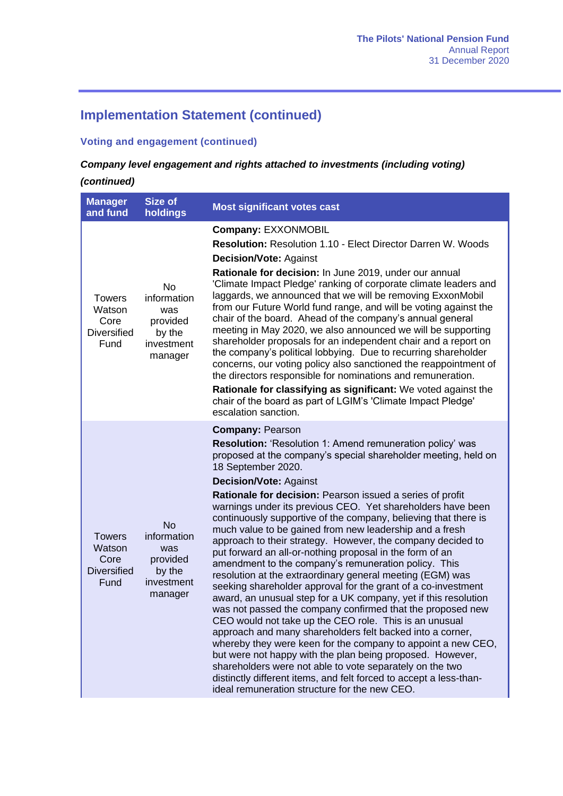### **Voting and engagement (continued)**

## *Company level engagement and rights attached to investments (including voting)*

| <b>Manager</b><br>and fund                                    | <b>Size of</b><br>holdings                                                     | <b>Most significant votes cast</b>                                                                                                                                                                                                                                                                                                                                                                                                                                                                                                                                                                                                                                                                                                                                                                                                                                                                                                                                                                                                                                                                                                                                                                                                                                                                                                                               |
|---------------------------------------------------------------|--------------------------------------------------------------------------------|------------------------------------------------------------------------------------------------------------------------------------------------------------------------------------------------------------------------------------------------------------------------------------------------------------------------------------------------------------------------------------------------------------------------------------------------------------------------------------------------------------------------------------------------------------------------------------------------------------------------------------------------------------------------------------------------------------------------------------------------------------------------------------------------------------------------------------------------------------------------------------------------------------------------------------------------------------------------------------------------------------------------------------------------------------------------------------------------------------------------------------------------------------------------------------------------------------------------------------------------------------------------------------------------------------------------------------------------------------------|
| <b>Towers</b><br>Watson<br>Core<br><b>Diversified</b><br>Fund | No<br>information<br>was<br>provided<br>by the<br>investment<br>manager        | <b>Company: EXXONMOBIL</b><br><b>Resolution: Resolution 1.10 - Elect Director Darren W. Woods</b><br><b>Decision/Vote: Against</b><br>Rationale for decision: In June 2019, under our annual<br>'Climate Impact Pledge' ranking of corporate climate leaders and<br>laggards, we announced that we will be removing ExxonMobil<br>from our Future World fund range, and will be voting against the<br>chair of the board. Ahead of the company's annual general<br>meeting in May 2020, we also announced we will be supporting<br>shareholder proposals for an independent chair and a report on<br>the company's political lobbying. Due to recurring shareholder<br>concerns, our voting policy also sanctioned the reappointment of<br>the directors responsible for nominations and remuneration.<br>Rationale for classifying as significant: We voted against the<br>chair of the board as part of LGIM's 'Climate Impact Pledge'<br>escalation sanction.                                                                                                                                                                                                                                                                                                                                                                                                 |
| <b>Towers</b><br>Watson<br>Core<br><b>Diversified</b><br>Fund | <b>No</b><br>information<br>was<br>provided<br>by the<br>investment<br>manager | <b>Company: Pearson</b><br>Resolution: 'Resolution 1: Amend remuneration policy' was<br>proposed at the company's special shareholder meeting, held on<br>18 September 2020.<br><b>Decision/Vote: Against</b><br>Rationale for decision: Pearson issued a series of profit<br>warnings under its previous CEO. Yet shareholders have been<br>continuously supportive of the company, believing that there is<br>much value to be gained from new leadership and a fresh<br>approach to their strategy. However, the company decided to<br>put forward an all-or-nothing proposal in the form of an<br>amendment to the company's remuneration policy. This<br>resolution at the extraordinary general meeting (EGM) was<br>seeking shareholder approval for the grant of a co-investment<br>award, an unusual step for a UK company, yet if this resolution<br>was not passed the company confirmed that the proposed new<br>CEO would not take up the CEO role. This is an unusual<br>approach and many shareholders felt backed into a corner,<br>whereby they were keen for the company to appoint a new CEO,<br>but were not happy with the plan being proposed. However,<br>shareholders were not able to vote separately on the two<br>distinctly different items, and felt forced to accept a less-than-<br>ideal remuneration structure for the new CEO. |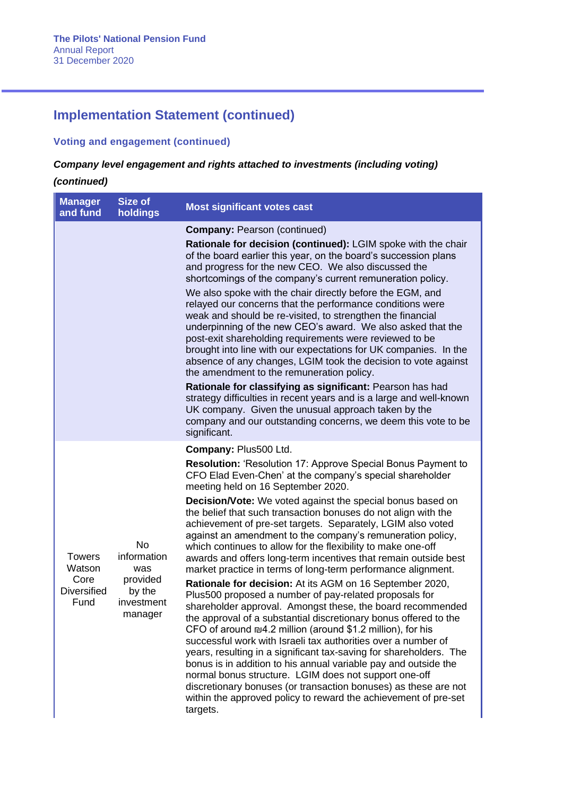## **Voting and engagement (continued)**

### *Company level engagement and rights attached to investments (including voting)*

| <b>Manager</b><br>and fund                                    | <b>Size of</b><br>holdings                                                     | <b>Most significant votes cast</b>                                                                                                                                                                                                                                                                                                                                                                                                                                                                                                                                                                                                                                                                                                                                                                                                                                                                                                                                                                                                                                                                                                                                                                                                                                                                                                                                                                               |
|---------------------------------------------------------------|--------------------------------------------------------------------------------|------------------------------------------------------------------------------------------------------------------------------------------------------------------------------------------------------------------------------------------------------------------------------------------------------------------------------------------------------------------------------------------------------------------------------------------------------------------------------------------------------------------------------------------------------------------------------------------------------------------------------------------------------------------------------------------------------------------------------------------------------------------------------------------------------------------------------------------------------------------------------------------------------------------------------------------------------------------------------------------------------------------------------------------------------------------------------------------------------------------------------------------------------------------------------------------------------------------------------------------------------------------------------------------------------------------------------------------------------------------------------------------------------------------|
|                                                               |                                                                                | <b>Company: Pearson (continued)</b><br>Rationale for decision (continued): LGIM spoke with the chair<br>of the board earlier this year, on the board's succession plans<br>and progress for the new CEO. We also discussed the<br>shortcomings of the company's current remuneration policy.<br>We also spoke with the chair directly before the EGM, and<br>relayed our concerns that the performance conditions were<br>weak and should be re-visited, to strengthen the financial<br>underpinning of the new CEO's award. We also asked that the<br>post-exit shareholding requirements were reviewed to be<br>brought into line with our expectations for UK companies. In the<br>absence of any changes, LGIM took the decision to vote against<br>the amendment to the remuneration policy.<br>Rationale for classifying as significant: Pearson has had<br>strategy difficulties in recent years and is a large and well-known<br>UK company. Given the unusual approach taken by the<br>company and our outstanding concerns, we deem this vote to be<br>significant.                                                                                                                                                                                                                                                                                                                                    |
| <b>Towers</b><br>Watson<br>Core<br><b>Diversified</b><br>Fund | <b>No</b><br>information<br>was<br>provided<br>by the<br>investment<br>manager | Company: Plus500 Ltd.<br><b>Resolution: 'Resolution 17: Approve Special Bonus Payment to</b><br>CFO Elad Even-Chen' at the company's special shareholder<br>meeting held on 16 September 2020.<br><b>Decision/Vote:</b> We voted against the special bonus based on<br>the belief that such transaction bonuses do not align with the<br>achievement of pre-set targets. Separately, LGIM also voted<br>against an amendment to the company's remuneration policy,<br>which continues to allow for the flexibility to make one-off<br>awards and offers long-term incentives that remain outside best<br>market practice in terms of long-term performance alignment.<br>Rationale for decision: At its AGM on 16 September 2020,<br>Plus500 proposed a number of pay-related proposals for<br>shareholder approval. Amongst these, the board recommended<br>the approval of a substantial discretionary bonus offered to the<br>CFO of around ₪4.2 million (around \$1.2 million), for his<br>successful work with Israeli tax authorities over a number of<br>years, resulting in a significant tax-saving for shareholders. The<br>bonus is in addition to his annual variable pay and outside the<br>normal bonus structure. LGIM does not support one-off<br>discretionary bonuses (or transaction bonuses) as these are not<br>within the approved policy to reward the achievement of pre-set<br>targets. |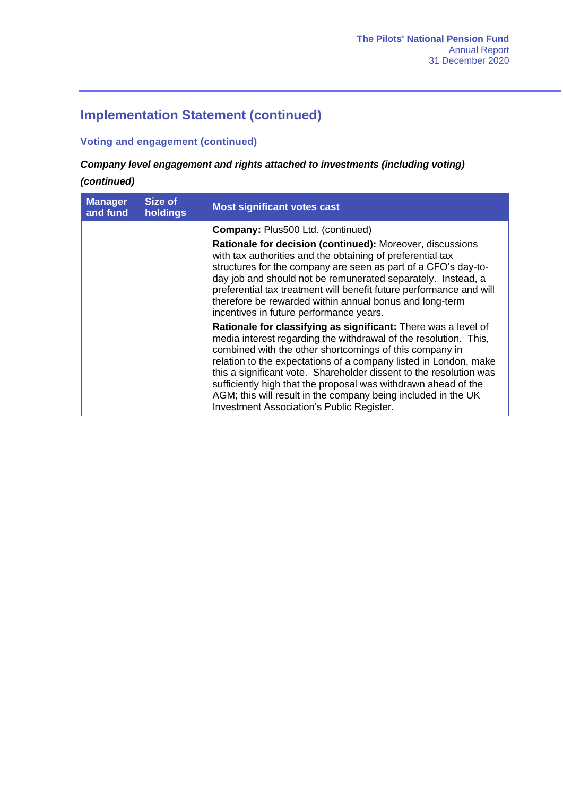### **Voting and engagement (continued)**

## *Company level engagement and rights attached to investments (including voting)*

| <b>Manager</b><br>and fund | Size of<br>holdings | <b>Most significant votes cast</b>                                                                                                                                                                                                                                                                                                                                                                                                                                                                                      |
|----------------------------|---------------------|-------------------------------------------------------------------------------------------------------------------------------------------------------------------------------------------------------------------------------------------------------------------------------------------------------------------------------------------------------------------------------------------------------------------------------------------------------------------------------------------------------------------------|
|                            |                     | <b>Company: Plus500 Ltd. (continued)</b>                                                                                                                                                                                                                                                                                                                                                                                                                                                                                |
|                            |                     | Rationale for decision (continued): Moreover, discussions<br>with tax authorities and the obtaining of preferential tax<br>structures for the company are seen as part of a CFO's day-to-<br>day job and should not be remunerated separately. Instead, a<br>preferential tax treatment will benefit future performance and will<br>therefore be rewarded within annual bonus and long-term<br>incentives in future performance years.                                                                                  |
|                            |                     | Rationale for classifying as significant: There was a level of<br>media interest regarding the withdrawal of the resolution. This,<br>combined with the other shortcomings of this company in<br>relation to the expectations of a company listed in London, make<br>this a significant vote. Shareholder dissent to the resolution was<br>sufficiently high that the proposal was withdrawn ahead of the<br>AGM; this will result in the company being included in the UK<br>Investment Association's Public Register. |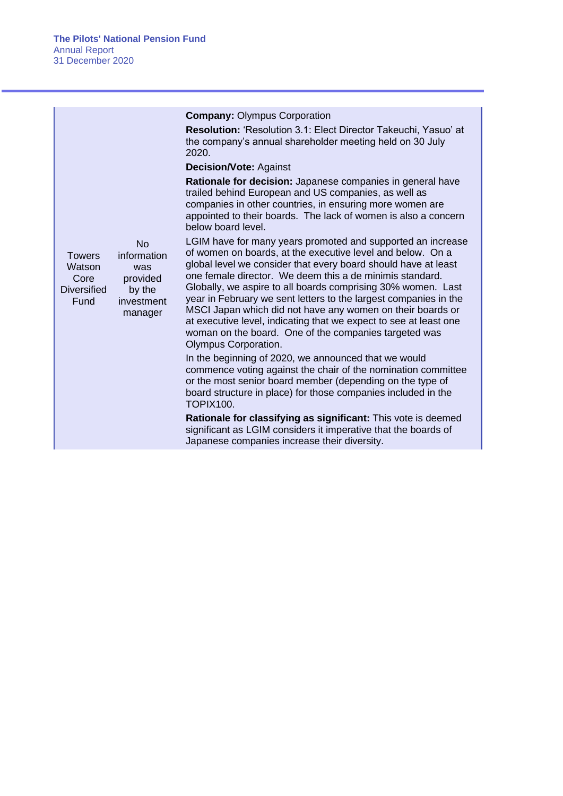| No<br>information<br>was<br>provided<br>by the<br>investment<br>manager | <b>Company: Olympus Corporation</b><br><b>Resolution: 'Resolution 3.1: Elect Director Takeuchi, Yasuo' at</b><br>the company's annual shareholder meeting held on 30 July<br>2020.<br><b>Decision/Vote: Against</b><br>Rationale for decision: Japanese companies in general have<br>trailed behind European and US companies, as well as<br>companies in other countries, in ensuring more women are<br>appointed to their boards. The lack of women is also a concern<br>below board level.<br>LGIM have for many years promoted and supported an increase<br>of women on boards, at the executive level and below. On a<br>global level we consider that every board should have at least<br>one female director. We deem this a de minimis standard.<br>Globally, we aspire to all boards comprising 30% women. Last<br>year in February we sent letters to the largest companies in the<br>MSCI Japan which did not have any women on their boards or<br>at executive level, indicating that we expect to see at least one<br>woman on the board. One of the companies targeted was<br>Olympus Corporation.<br>In the beginning of 2020, we announced that we would<br>commence voting against the chair of the nomination committee<br>or the most senior board member (depending on the type of<br>board structure in place) for those companies included in the<br><b>TOPIX100.</b><br>Rationale for classifying as significant: This vote is deemed |
|-------------------------------------------------------------------------|--------------------------------------------------------------------------------------------------------------------------------------------------------------------------------------------------------------------------------------------------------------------------------------------------------------------------------------------------------------------------------------------------------------------------------------------------------------------------------------------------------------------------------------------------------------------------------------------------------------------------------------------------------------------------------------------------------------------------------------------------------------------------------------------------------------------------------------------------------------------------------------------------------------------------------------------------------------------------------------------------------------------------------------------------------------------------------------------------------------------------------------------------------------------------------------------------------------------------------------------------------------------------------------------------------------------------------------------------------------------------------------------------------------------------------------------------------------|
|                                                                         | significant as LGIM considers it imperative that the boards of<br>Japanese companies increase their diversity.                                                                                                                                                                                                                                                                                                                                                                                                                                                                                                                                                                                                                                                                                                                                                                                                                                                                                                                                                                                                                                                                                                                                                                                                                                                                                                                                               |
|                                                                         |                                                                                                                                                                                                                                                                                                                                                                                                                                                                                                                                                                                                                                                                                                                                                                                                                                                                                                                                                                                                                                                                                                                                                                                                                                                                                                                                                                                                                                                              |